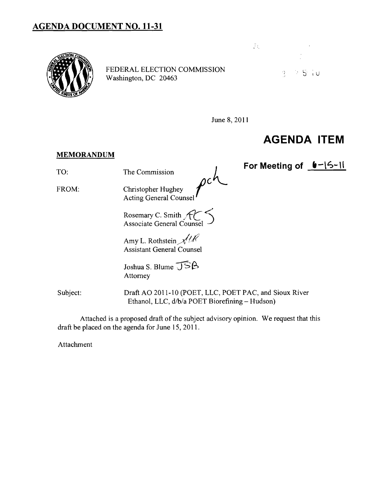## **AGENDA DOCUMENT NO. 11-31**



FEDERAL ELECTION COMMISSION<br>Washington, DC 20463



June 8, 2011

## **AGENDA ITEM**

## **MEMORANDUM**

TO: The Commission **For Meeting of <u>6-15-11</u>**<br>FROM: Christopher Hughey *jC* Acting General Counsel

> Rosemary C. Smith  $,$   $\mathcal{H}$  $\mathbf{r}$ Associate General Counsel

Amy L. Rothstein  $\mathcal{N}/\mathcal{N}$ Assistant General Counsel

Joshua S. Blume  $\overline{\text{J}}$ SB Attorney

Subject: Draft AO 2011-10 (POET, LLC, POET PAC, and Sioux River Ethanol, LLC, d/b/a POET Biorefining - Hudson)

Attached is a proposed draft of the subject advisory opinion. We request that this draft be placed on the agenda for June 15,2011.

Attachment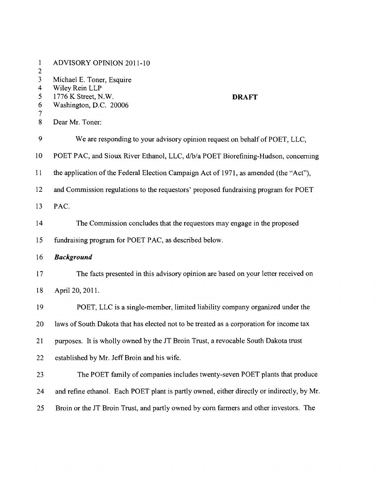| $\mathbf{1}$<br>$\overline{2}$ | ADVISORY OPINION 2011-10                                                                                     |
|--------------------------------|--------------------------------------------------------------------------------------------------------------|
| 3<br>4<br>5<br>6<br>7          | Michael E. Toner, Esquire<br>Wiley Rein LLP<br>1776 K Street, N.W.<br><b>DRAFT</b><br>Washington, D.C. 20006 |
| 8                              | Dear Mr. Toner:                                                                                              |
| 9                              | We are responding to your advisory opinion request on behalf of POET, LLC,                                   |
| 10                             | POET PAC, and Sioux River Ethanol, LLC, d/b/a POET Biorefining-Hudson, concerning                            |
| 11                             | the application of the Federal Election Campaign Act of 1971, as amended (the "Act"),                        |
| 12                             | and Commission regulations to the requestors' proposed fundraising program for POET                          |
| 13                             | PAC.                                                                                                         |
| 14                             | The Commission concludes that the requestors may engage in the proposed                                      |
| 15                             | fundraising program for POET PAC, as described below.                                                        |
| 16                             | <b>Background</b>                                                                                            |
| 17                             | The facts presented in this advisory opinion are based on your letter received on                            |
| 18                             | April 20, 2011.                                                                                              |
| 19                             | POET, LLC is a single-member, limited liability company organized under the                                  |
| 20                             | laws of South Dakota that has elected not to be treated as a corporation for income tax                      |
| 21                             | purposes. It is wholly owned by the JT Broin Trust, a revocable South Dakota trust                           |
| 22                             | established by Mr. Jeff Broin and his wife.                                                                  |
| 23                             | The POET family of companies includes twenty-seven POET plants that produce                                  |
| 24                             | and refine ethanol. Each POET plant is partly owned, either directly or indirectly, by Mr.                   |
| 25                             | Broin or the JT Broin Trust, and partly owned by corn farmers and other investors. The                       |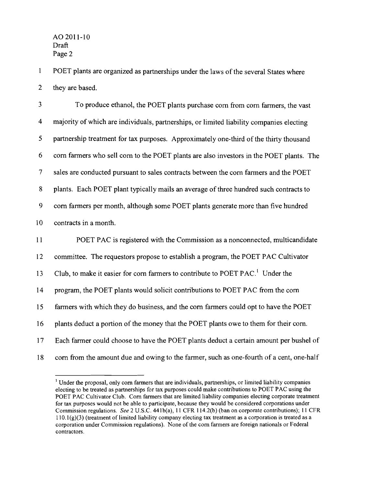$\mathbf{1}$ POET plants are organized as partnerships under the laws of the several States where 2 they are based.

3 To produce ethanol, the POET plants purchase com from com farmers, the vast 4 majority of which are individuals, partnerships, or limited liability companies electing 5 partnership treatment for tax purposes. Approximately one-third of the thirty thousand 6 com farmers who sell com to the POET plants are also investors in the POET plants. The 7 sales are conducted pursuant to sales contracts between the com farmers and the POET 8 plants. Each POET plant typically mails an average of three hundred such contracts to 9 com farmers per month, although some POET plants generate more than five hundred 10 contracts in a month. 11 POET PAC is registered with the Commission as a nonconnected, multicandidate 12 committee. The requestors propose to establish a program, the POET PAC Cultivator 13 Club, to make it easier for corn farmers to contribute to POET PAC.<sup>1</sup> Under the 14 program, the POET plants would solicit contributions to POET PAC from the com

15 farmers with which they do business, and the com farmers could opt to have the POET

16 plants deduct a portion of the money that the POET plants owe to them for their com.

- 17 Each farmer could choose to have the POET plants deduct a certain amount per bushel of
- 18 com from the amount due and owing to the farmer, such as one~fourth of a cent, one-half

<sup>&</sup>lt;sup>1</sup> Under the proposal, only corn farmers that are individuals, partnerships, or limited liability companies electing to be treated as partnerships for tax purposes could make contributions to POET PAC using the POET PAC Cultivator Club. Corn fanners that are limited liability companies electing corporate treatment for tax purposes would not be able to participate, because they would be considered corporations under Commission regulations. *See* 2 U.S.c. 441b(a), 11 CFR 114.2(b) (ban on corporate contributions); 11 CFR  $110.1(g)(3)$  (treatment of limited liability company electing tax treatment as a corporation is treated as a corporation under Commission regulations). None of the corn fanners are foreign nationals or Federal contractors.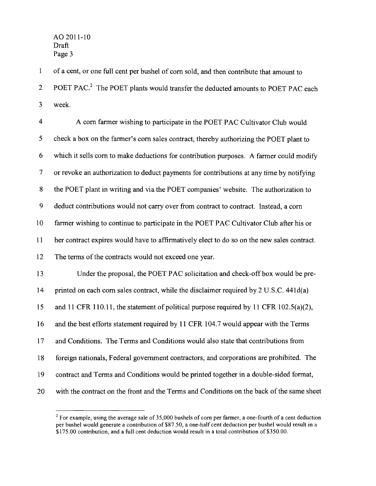$\mathbf{1}$ of a cent, or one full cent per bushel of com sold, and then contribute that amount to 2 POET PAC.<sup>2</sup> The POET plants would transfer the deducted amounts to POET PAC each 3 week.

4 A com farmer wishing to participate in the POET PAC Cultivator Club would 5 check a box on the farmer's com sales contract, thereby authorizing the POET plant to 6 which it sells com to make deductions for contribution purposes. A farmer could modify 7 or revoke an authorization to deduct payments for contributions at any time by notifying 8 the POET plant in writing and via the POET companies' website. The authorization to 9 deduct contributions would not carryover from contract to contract. Instead, a com 10 farmer wishing to continue to participate in the POET PAC Cultivator Club after his or 11 her contract expires would have to affirmatively elect to do so on the new sales contract. 12 The terms of the contracts would not exceed one year. 13 Under the proposal, the POET PAC solicitation and check-off box would be pre-14 printed on each corn sales contract, while the disclaimer required by 2 U.S.C. 441d(a) 15 and 11 CFR 110.11, the statement of political purpose required by 11 CFR 102.5(a)(2), 16 and the best efforts statement required by 11 CFR 104.7 would appear with the Terms 17 and Conditions. The Terms and Conditions would also state that contributions from 18 foreign nationals, Federal government contractors, and corporations are prohibited. The 19 contract and Terms and Conditions would be printed together in a double-sided format, 20 with the contract on the front and the Terms and Conditions on the back of the same sheet

 $2 \text{ For example, using the average sale of 35,000 bushels of corn per farmer, a one-fourth of a cent deduction.}$ per bushel would generate a contribution of \$87.50, a one-half cent deduction per bushel would result in a \$175.00 contribution, and a full cent deduction would result in a total contribution of \$350.00.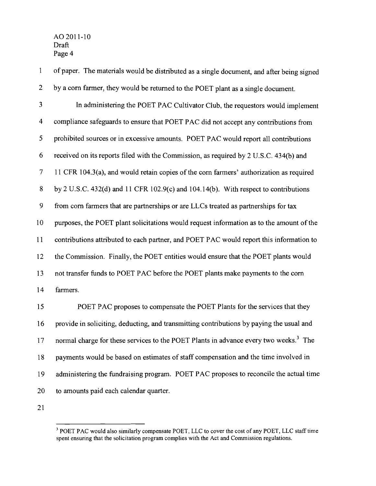1 of paper. The materials would be distributed as a single document, and after being signed 2 by a corn farmer, they would be returned to the POET plant as a single document. 3 In administering the POET PAC Cultivator Club, the requestors would implement 4 compliance safeguards to ensure that POET PAC did not accept any contributions from 5 prohibited sources or in excessive amounts. POET PAC would report all contributions 6 received on its reports filed with the Commission, as required by 2 U.S.c. 434(b) and 7 11 CFR 104.3(a), and would retain copies of the corn farmers' authorization as required 8 by 2 U.S.c. 432(d) and 11 CFR 102.9(c) and 104.14(b). With respect to contributions 9 from corn farmers that are partnerships or are LLCs treated as partnerships for tax 10 purposes, the POET plant solicitations would request information as to the amount ofthe 11 contributions attributed to each partner, and POET PAC would report this information to 12 the Commission. Finally, the POET entities would ensure that the POET plants would 13 not transfer funds to POET PAC before the POET plants make payments to the corn 14 farmers. 15 POET PAC proposes to compensate the POET Plants for the services that they 16 provide in soliciting, deducting, and transmitting contributions by paying the usual and 17 normal charge for these services to the POET Plants in advance every two weeks.<sup>3</sup> The

18 payments would be based on estimates of staff compensation and the time involved in 19 administering the fundraising program. POET PAC proposes to reconcile the actual time 20 to amounts paid each calendar quarter.

21

<sup>&</sup>lt;sup>3</sup> POET PAC would also similarly compensate POET, LLC to cover the cost of any POET, LLC staff time spent ensuring that the solicitation program complies with the Act and Commission regulations.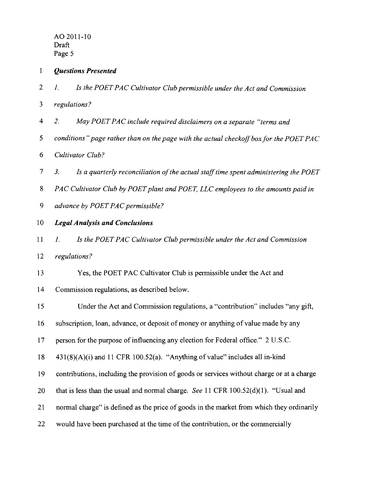- 1 *Questions Presented*
- 2 1. *Is the POETPAC Cultivator Club permissible under the Act and Commission*
- 3 *regulations?*
- 4 2. *May POETPAC include required disclaimers on a separate "terms and*
- 5 *conditions" page rather than on the page with the actual checkoffbox for the POET PA* C
- *6 Cultivator Club?*
- 7 3. *Is a quarterly reconciliation ofthe actual stafftime spent administering the POET*
- 8 *PAC Cultivator Club by POET plant and POET, LLC employees to the amounts paid in*
- *9 advance by POET PAC permissible?*
- 10 *Legal Analysis and Conclusions*
- 11 1. *Is the POET PAC Cultivator Club permissible under the Act and Commission*
- 12 *regulations?*
- 13 Yes, the POET PAC Cultivator Club is pennissible under the Act and
- 14 Commission regulations, as described below.
- 15 Under the Act and Commission regulations, a "contribution" includes "any gift,
- 16 subscription, loan, advance, or deposit of money or anything of value made by any
- 17 person for the purpose of influencing any election for Federal office." 2 U.S.C.
- $18$  431(8)(A)(i) and 11 CFR 100.52(a). "Anything of value" includes all in-kind
- 19 contributions, including the provision of goods or services without charge or at a charge
- 20 that is less than the usual and normal charge. *See* 11 CFR 100.52(d)(1). "Usual and
- 21 normal charge" is defined as the price of goods in the market from which they ordinarily
- 22 would have been purchased at the time of the contribution, or the commercially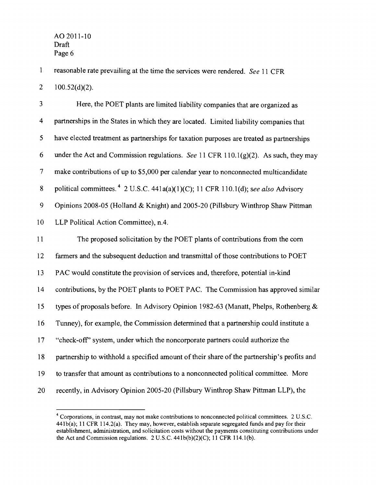$\mathbf{1}$ reasonable rate prevailing at the time the services were rendered. *See* 11 CFR  $2 \qquad 100.52(d)(2)$ .

3 Here, the POET plants are limited liability companies that are organized as 4 partnerships in the States in which they are located. Limited liability companies that 5 have elected treatment as partnerships for taxation purposes are treated as partnerships 6 under the Act and Commission regulations. *See* 11 CFR 110.1 (g)(2). As such, they may 7 make contributions of up to \$5,000 per calendar year to nonconnected multicandidate 8 political committees. 4 2 U.S.C. 441a(a)(l)(C); 11 CFR 110.1(d); see *also* Advisory 9 Opinions 2008-05 (Holland & Knight) and 2005-20 (Pillsbury Winthrop Shaw Pittman 10 LLP Political Action Committee), n.4. 11 The proposed solicitation by the POET plants of contributions from the com 12 farmers and the subsequent deduction and transmittal of those contributions to POET 13 PAC would constitute the provision of services and, therefore, potential in-kind 14 contributions, by the POET plants to POET PAC. The Commission has approved similar 15 types of proposals before. In Advisory Opinion 1982-63 (Manatt, Phelps, Rothenberg & 16 Tunney), for example, the Commission determined that a partnership could institute a 17 "check-off' system, under which the noncorporate partners could authorize the 18 partnership to withhold a specified amount of their share of the partnership's profits and 19 to transfer that amount as contributions to a nonconnected political committee. More 20 recently, in Advisory Opinion 2005-20 (Pillsbury Winthrop Shaw Pittman LLP), the

<sup>4</sup> Corporations, in contrast, may not make contributions to nonconnected political committees. 2 U.S.c. 441b(a); 11 CFR 114.2(a). They may, however, establish separate segregated funds and pay for their establishment, administration, and solicitation costs without the payments constituting contributions under the Act and Commission regulations.  $2 U.S.C. 441b(b)(2)(C); 11 CFR 114.1(b).$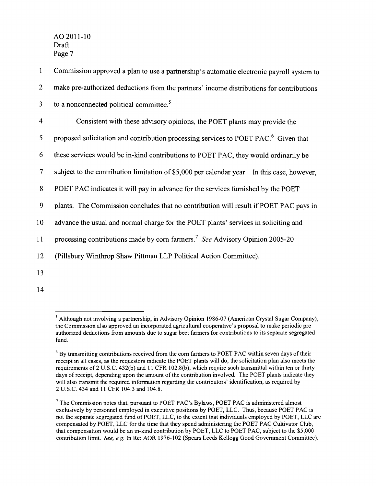1 Commission approved a plan to use a partnership's automatic electronic payroll system to 2 make pre-authorized deductions from the partners' income distributions for contributions  $3$  to a nonconnected political committee.<sup>5</sup> 4 Consistent with these advisory opinions, the POET plants may provide the 5 proposed solicitation and contribution processing services to POET PAC. 6 Given that 6 these services would be in-kind contributions to POET PAC, they would ordinarily be 7 subject to the contribution limitation of \$5,000 per calendar year. In this case, however, 8 POET PAC indicates it will pay in advance for the services furnished by the POET 9 plants. The Commission concludes that no contribution will result if POET PAC pays in 10 advance the usual and normal charge for the POET plants' services in soliciting and 11 processing contributions made by com farmers.? *See* Advisory Opinion 2005-20 12 (Pillsbury Winthrop Shaw Pittman LLP Political Action Committee). 13

14

<sup>5</sup> Although not involving a partnership, in Advisory Opinion 1986-07 (American Crystal Sugar Company), the Commission also approved an incorporated agricultural cooperative's proposal to make periodic preauthorized deductions from amounts due to sugar beet farmers for contributions to its separate segregated fund.

<sup>6</sup> By transmitting contributions received from the corn farmers to POET PAC within seven days of their receipt in all cases, as the requestors indicate the POET plants will do, the solicitation plan also meets the requirements of2 U.S.c. 432(b) and 11 CFR 102.8(b), which require such transmittal within ten or thirty days of receipt, depending upon the amount of the contribution involved. The POET plants indicate they will also transmit the required information regarding the contributors' identification, as required by 2 U.S.c. 434 and 11 CFR 104.3 and 104.8.

 $<sup>7</sup>$  The Commission notes that, pursuant to POET PAC's Bylaws, POET PAC is administered almost</sup> exclusively by personnel employed in executive positions by POET, LLC. Thus, because POET PAC is not the separate segregated fund of POET, LLC, to the extent that individuals employed by POET, LLC are compensated by POET, LLC for the time that they spend administering the POET PAC Cultivator Club, that compensation would be an in-kind contribution by POET, LLC to POET PAC, subject to the \$5,000 contribution limit. *See, e.g.* In Re: AOR 1976-102 (Spears Leeds Kellogg Good Government Committee).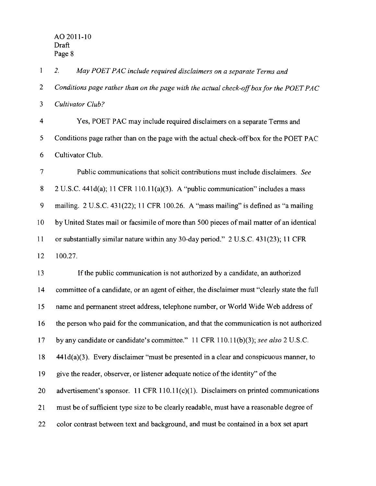$\mathbf{1}$ *2. May POET PAC include required disclaimers on a separate Terms and*  2 *Conditions page rather than on the page with the actual check-offbox for the POET PAC 3 Cultivator Club?*  4 Yes, POET PAC may include required disclaimers on a separate Terms and 5 Conditions page rather than on the page with the actual check-off box for the POET PAC 6 Cultivator Club. 7 Public communications that solicit contributions must include disclaimers. *See*  8 2 U.S.C. 441d(a); 11 CFR 110.11(a)(3). A "public communication" includes a mass 9 mailing. 2 U.S.C. 431 (22); 11 CFR 100.26. A "mass mailing" is defined as "a mailing 10 by United States mail or facsimile of more than 500 pieces of mail matter of an identical 11 or substantially similar nature within any 30-day period." 2 U.S.C. 431(23); 11 CFR 12 100.27. 13 If the public communication is not authorized by a candidate, an authorized 14 committee of a candidate, or an agent of either, the disclaimer must "clearly state the full 15 name and permanent street address, telephone number, or World Wide Web address of 16 the person who paid for the communication, and that the communication is not authorized 17 by any candidate or candidate's committee." 11 CFR 110.11(b)(3); *see also* 2 U.S.C. 18 441 d(a)(3). Every disclaimer "must be presented in a clear and conspicuous manner, to 19 give the reader, observer, or listener adequate notice of the identity" of the 20 advertisement's sponsor. 11 CFR 110.11(c)(1). Disclaimers on printed communications 21 must be of sufficient type size to be clearly readable, must have a reasonable degree of 22 color contrast between text and background, and must be contained in a box set apart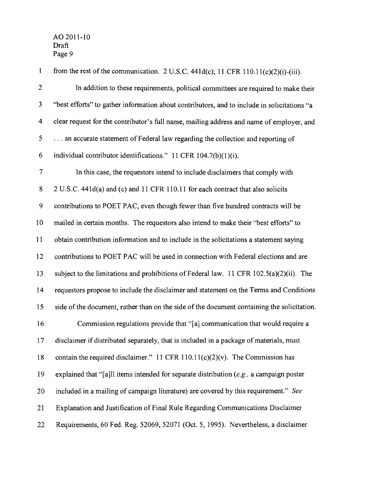| $\mathbf{1}$            | from the rest of the communication. 2 U.S.C. 441d(c); 11 CFR 110.11(c)(2)(i)-(iii).         |
|-------------------------|---------------------------------------------------------------------------------------------|
| $\mathbf{2}$            | In addition to these requirements, political committees are required to make their          |
| $\overline{\mathbf{3}}$ | "best efforts" to gather information about contributors, and to include in solicitations "a |
| $\overline{\mathbf{4}}$ | clear request for the contributor's full name, mailing address and name of employer, and    |
| 5                       | an accurate statement of Federal law regarding the collection and reporting of              |
| 6                       | individual contributor identifications." 11 CFR 104.7(b)(1)(i).                             |
| $\overline{7}$          | In this case, the requestors intend to include disclaimers that comply with                 |
| $8\,$                   | 2 U.S.C. 441d(a) and (c) and 11 CFR 110.11 for each contract that also solicits             |
| $\mathbf{9}$            | contributions to POET PAC, even though fewer than five hundred contracts will be            |
| 10                      | mailed in certain months. The requestors also intend to make their "best efforts" to        |
| 11                      | obtain contribution information and to include in the solicitations a statement saying      |
| 12                      | contributions to POET PAC will be used in connection with Federal elections and are         |
| 13                      | subject to the limitations and prohibitions of Federal law. 11 CFR $102.5(a)(2)(ii)$ . The  |
| 14                      | requestors propose to include the disclaimer and statement on the Terms and Conditions      |
| 15                      | side of the document, rather than on the side of the document containing the solicitation.  |
| 16                      | Commission regulations provide that "[a] communication that would require a                 |
| 17                      | disclaimer if distributed separately, that is included in a package of materials, must      |
| 18                      | contain the required disclaimer." 11 CFR $110.11(c)(2)(v)$ . The Commission has             |
| 19                      | explained that "[a]ll items intended for separate distribution $(e.g., a$ campaign poster   |
| 20                      | included in a mailing of campaign literature) are covered by this requirement." See         |
| 21                      | Explanation and Justification of Final Rule Regarding Communications Disclaimer             |
| 22                      | Requirements, 60 Fed. Reg. 52069, 52071 (Oct. 5, 1995). Nevertheless, a disclaimer          |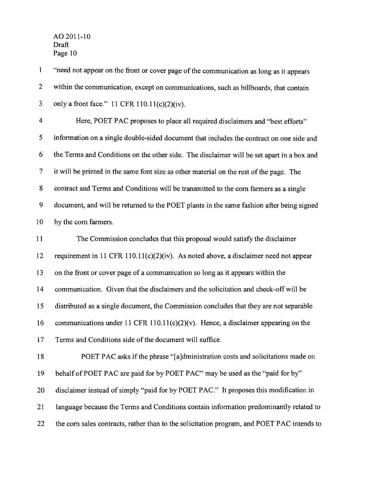$\mathbf{1}$ "need not appear on the front or cover page of the communication as long as it appears 2 within the communication, except on communications, such as billboards, that contain 3 only a front face." 11 CFR 110.11(c)(2)(iv). 4 Here, POET PAC proposes to place all required disclaimers and "best efforts" 5 information on a single double-sided document that includes the contract on one side and 6 the Terms and Conditions on the other side. The disclaimer will be set apart in a box and 7 it will be printed in the same font size as other material on the rest of the page. The 8 contract and Terms and Conditions will be transmitted to the com farmers as a single 9 document, and will be returned to the POET plants in the same fashion after being signed 10 by the com farmers. 11 The Commission concludes that this proposal would satisfy the disclaimer 12 requirement in 11 CFR 110.11(c)(2)(iv). As noted above, a disclaimer need not appear 13 on the front or cover page of a communication so long as it appears within the 14 communication. Given that the disclaimers and the solicitation and check-off will be 15 distributed as a single document, the Commission concludes that they are not separable 16 communications under 11 CFR 110.11(c)(2)(v). Hence, a disclaimer appearing on the

17 Terms and Conditions side of the document will suffice.

18 POET PAC asks if the phrase "[a]dministration costs and solicitations made on 19 behalf of POET PAC are paid for by POET PAC" may be used as the "paid for by" 20 disclaimer instead of simply "paid for by POET PAC." It proposes this modification in 21 language because the Terms and Conditions contain information predominantly related to 22 the com sales contracts, rather than to the solicitation program, and POET PAC intends to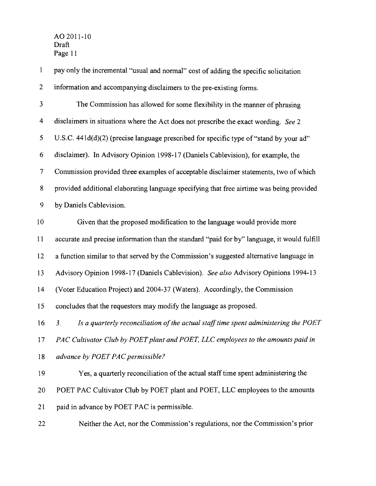$\mathbf{1}$ pay only the incremental ''usual and normal" cost of adding the specific solicitation 2 information and accompanying disclaimers to the pre-existing forms. 3 The Commission has allowed for some flexibility in the manner of phrasing 4 disclaimers in situations where the Act does not prescribe the exact wording. *See 2*  5 U.S.C. 441d(d)(2) (precise language prescribed for specific type of "stand by your ad" 6 disclaimer). In Advisory Opinion 1998-17 (Daniels Cablevision), for example, the 7 Commission provided three examples of acceptable disclaimer statements, two ofwhich 8 provided additional elaborating language specifying that free airtime was being provided 9 by Daniels Cablevision. 10 Given that the proposed modification to the language would provide more 11 accurate and precise information than the standard "paid for by" language, it would fulfill 12 a function similar to that served by the Commission's suggested alternative language in 13 Advisory Opinion 1998-17 (Daniels Cablevision). *See also* Advisory Opinions 1994-13 14 (Voter Education Project) and 2004-37 (Waters). Accordingly, the Commission 15 concludes that the requestors may modify the language as proposed. 16 3. *Is a quarterly reconciliation of the actual staff time spent administering the POET* 17 *PAC Cultivator Club by POET plant and POET, LLC employees to the amounts paid in 18 advance by POET PAC permissible?*  19 Yes, a quarterly reconciliation of the actual staff time spent administering the 20 POET PAC Cultivator Club by POET plant and POET, LLC employees to the amounts 21 paid in advance by POET PAC is permissible. 22 Neither the Act, nor the Commission's regulations, nor the Commission's prior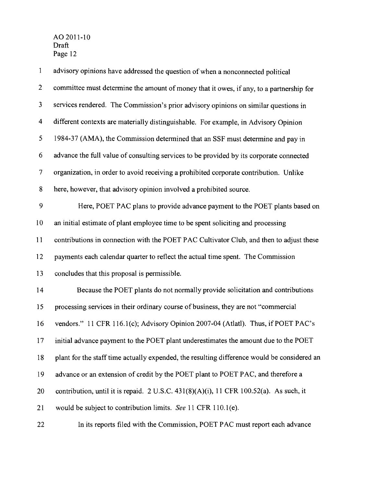| $\mathbf{1}$             | advisory opinions have addressed the question of when a nonconnected political              |
|--------------------------|---------------------------------------------------------------------------------------------|
| $\overline{2}$           | committee must determine the amount of money that it owes, if any, to a partnership for     |
| 3                        | services rendered. The Commission's prior advisory opinions on similar questions in         |
| $\overline{\mathcal{A}}$ | different contexts are materially distinguishable. For example, in Advisory Opinion         |
| 5                        | 1984-37 (AMA), the Commission determined that an SSF must determine and pay in              |
| 6                        | advance the full value of consulting services to be provided by its corporate connected     |
| $\overline{7}$           | organization, in order to avoid receiving a prohibited corporate contribution. Unlike       |
| 8                        | here, however, that advisory opinion involved a prohibited source.                          |
| 9                        | Here, POET PAC plans to provide advance payment to the POET plants based on                 |
| 10                       | an initial estimate of plant employee time to be spent soliciting and processing            |
| 11                       | contributions in connection with the POET PAC Cultivator Club, and then to adjust these     |
| 12                       | payments each calendar quarter to reflect the actual time spent. The Commission             |
| 13                       | concludes that this proposal is permissible.                                                |
| 14                       | Because the POET plants do not normally provide solicitation and contributions              |
| 15                       | processing services in their ordinary course of business, they are not "commercial          |
| 16                       | vendors." 11 CFR 116.1(c); Advisory Opinion 2007-04 (Atlatl). Thus, if POET PAC's           |
| 17                       | initial advance payment to the POET plant underestimates the amount due to the POET         |
| 18                       | plant for the staff time actually expended, the resulting difference would be considered an |
| 19                       | advance or an extension of credit by the POET plant to POET PAC, and therefore a            |
| 20                       | contribution, until it is repaid. 2 U.S.C. 431(8)(A)(i), 11 CFR 100.52(a). As such, it      |
| 21                       | would be subject to contribution limits. See 11 CFR 110.1(e).                               |
| 22                       | In its reports filed with the Commission, POET PAC must report each advance                 |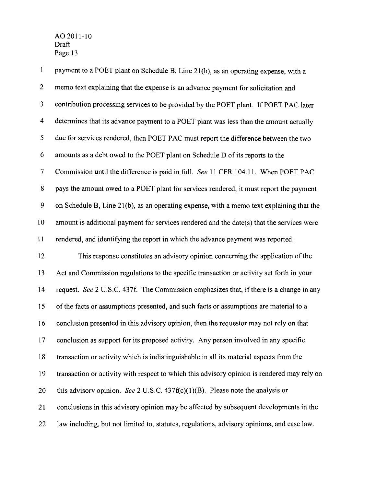1 payment to a POET plant on Schedule B, Line 21 (b), as an operating expense, with a 2 memo text explaining that the expense is an advance payment for solicitation and 3 contribution processing services to be provided by the POET plant. If POET PAC later 4 determines that its advance payment to a POET plant was less than the amount actually 5 due for services rendered, then POET PAC must report the difference between the two 6 amounts as a debt owed to the POET plant on Schedule D of its reports to the 7 Commission until the difference is paid in full. *See* 11 CFR 104.11. When POET PAC 8 pays the amount owed to a POET plant for services rendered, it must report the payment 9 on Schedule B, Line 21(b), as an operating expense, with a memo text explaining that the 10 amount is additional payment for services rendered and the date(s) that the services were 11 rendered, and identifying the report in which the advance payment was reported. 12 This response constitutes an advisory opinion concerning the application ofthe 13 Act and Commission regulations to the specific transaction or activity set forth in your 14 request. *See* 2 U.S.C. 437f. The Commission emphasizes that, if there is a change in any 15 of the facts or assumptions presented, and such facts or assumptions are material to a 16 conclusion presented in this advisory opinion, then the requestor may not rely on that 17 conclusion as support for its proposed activity. Any person involved in any specific 18 transaction or activity which is indistinguishable in all its material aspects from the 19 transaction or activity with respect to which this advisory opinion is rendered may rely on 20 this advisory opinion. *See* 2 V.S.c. 437f(c)(I)(B). Please note the analysis or 21 conclusions in this advisory opinion may be affected by subsequent developments in the 22 law including, but not limited to, statutes, regulations, advisory opinions, and case law.